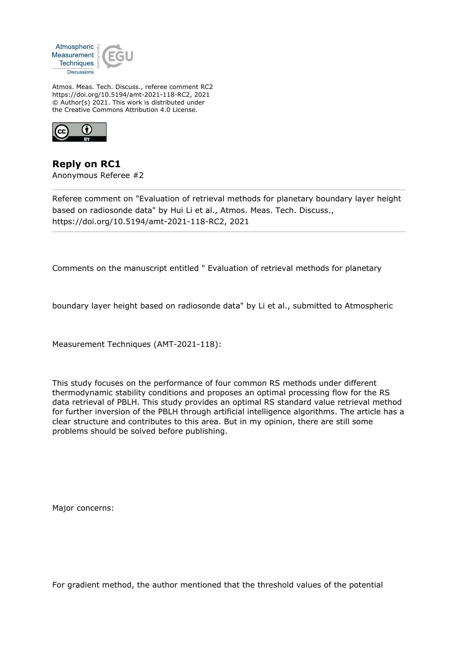

Atmos. Meas. Tech. Discuss., referee comment RC2 https://doi.org/10.5194/amt-2021-118-RC2, 2021 © Author(s) 2021. This work is distributed under the Creative Commons Attribution 4.0 License.



**Reply on RC1** Anonymous Referee #2

Referee comment on "Evaluation of retrieval methods for planetary boundary layer height based on radiosonde data" by Hui Li et al., Atmos. Meas. Tech. Discuss., https://doi.org/10.5194/amt-2021-118-RC2, 2021

Comments on the manuscript entitled " Evaluation of retrieval methods for planetary

boundary layer height based on radiosonde data" by Li et al., submitted to Atmospheric

Measurement Techniques (AMT-2021-118):

This study focuses on the performance of four common RS methods under different thermodynamic stability conditions and proposes an optimal processing flow for the RS data retrieval of PBLH. This study provides an optimal RS standard value retrieval method for further inversion of the PBLH through artificial intelligence algorithms. The article has a clear structure and contributes to this area. But in my opinion, there are still some problems should be solved before publishing.

Major concerns:

For gradient method, the author mentioned that the threshold values of the potential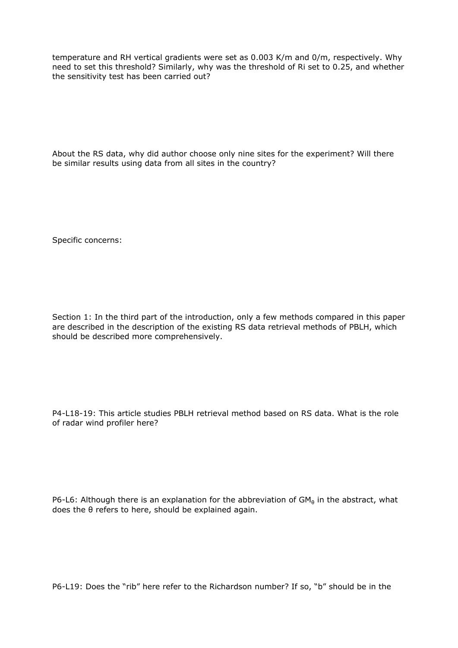temperature and RH vertical gradients were set as 0.003 K/m and 0/m, respectively. Why need to set this threshold? Similarly, why was the threshold of Ri set to 0.25, and whether the sensitivity test has been carried out?

About the RS data, why did author choose only nine sites for the experiment? Will there be similar results using data from all sites in the country?

Specific concerns:

Section 1: In the third part of the introduction, only a few methods compared in this paper are described in the description of the existing RS data retrieval methods of PBLH, which should be described more comprehensively.

P4-L18-19: This article studies PBLH retrieval method based on RS data. What is the role of radar wind profiler here?

P6-L6: Although there is an explanation for the abbreviation of  $GM_\theta$  in the abstract, what does the θ refers to here, should be explained again.

P6-L19: Does the "rib" here refer to the Richardson number? If so, "b" should be in the